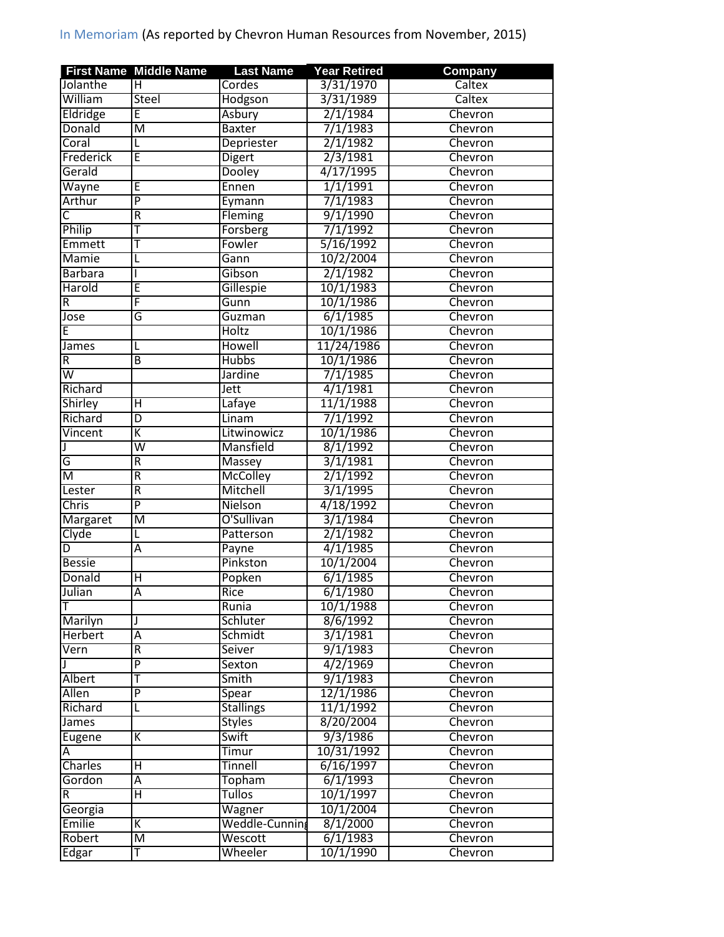|                         | <b>First Name Middle Name</b>             | <b>Last Name</b>          | <b>Year Retired</b>  | Company            |
|-------------------------|-------------------------------------------|---------------------------|----------------------|--------------------|
| Jolanthe                | н                                         | Cordes                    | 3/31/1970            | Caltex             |
| William                 | <b>Steel</b>                              | Hodgson                   | 3/31/1989            | Caltex             |
| Eldridge                | E                                         | Asbury                    | 2/1/1984             | Chevron            |
| Donald                  | $\overline{\mathsf{M}}$                   | <b>Baxter</b>             | 7/1/1983             | Chevron            |
| Coral                   | L                                         | Depriester                | 2/1/1982             | Chevron            |
| Frederick               | Ē                                         | Digert                    | 2/3/1981             | Chevron            |
| Gerald                  |                                           | Dooley                    | 4/17/1995            | Chevron            |
| Wayne                   | Ε                                         | Ennen                     | 1/1/1991             | Chevron            |
| Arthur                  | P                                         | Eymann                    | 7/1/1983             | Chevron            |
| $\overline{\mathsf{C}}$ | $\overline{\mathsf{R}}$                   | Fleming                   | 9/1/1990             | Chevron            |
| Philip                  | Т                                         | Forsberg                  | 7/1/1992             | Chevron            |
| Emmett                  | Т                                         | Fowler                    | 5/16/1992            | Chevron            |
| <b>Mamie</b>            | L                                         | Gann                      | 10/2/2004            | Chevron            |
| <b>Barbara</b>          |                                           | Gibson                    | 2/1/1982             | Chevron            |
| Harold                  | E                                         | Gillespie                 | 10/1/1983            | Chevron            |
| $\overline{R}$          | F                                         | Gunn                      | 10/1/1986            | Chevron            |
| Jose                    | G                                         | Guzman                    | 6/1/1985             | Chevron            |
| Ē                       |                                           | <b>Holtz</b>              | 10/1/1986            | Chevron            |
| James                   | L                                         | Howell                    | 11/24/1986           | Chevron            |
| R                       | B                                         | <b>Hubbs</b>              | 10/1/1986            | Chevron            |
| $\overline{\mathsf{w}}$ |                                           | Jardine                   | 7/1/1985             | Chevron            |
| Richard                 |                                           | Jett                      | 4/1/1981             | Chevron            |
| Shirley                 | Н                                         | Lafaye                    | 11/1/1988            | Chevron            |
| Richard                 | $\overline{\mathsf{D}}$                   | Linam                     | 7/1/1992             | Chevron            |
| <b>Vincent</b>          | Κ                                         | Litwinowicz               | 10/1/1986            | Chevron            |
|                         | $\overline{\mathsf{w}}$                   | Mansfield                 | 8/1/1992             | Chevron            |
| J                       | $\overline{\mathsf{R}}$                   |                           |                      |                    |
| G<br>M                  | R                                         | Massey<br><b>McColley</b> | 3/1/1981<br>2/1/1992 | Chevron<br>Chevron |
|                         |                                           | Mitchell                  |                      |                    |
| Lester                  | $\overline{\mathsf{R}}$<br>$\overline{P}$ |                           | 3/1/1995             | Chevron            |
| Chris                   |                                           | Nielson                   | 4/18/1992            | Chevron            |
| Margaret                | $\overline{\mathsf{M}}$                   | O'Sullivan                | 3/1/1984             | Chevron            |
| Clyde                   | L                                         | Patterson                 | 2/1/1982             | Chevron            |
| D                       | Α                                         | Payne                     | 4/1/1985             | Chevron            |
| <b>Bessie</b>           |                                           | Pinkston                  | 10/1/2004            | Chevron            |
| Donald                  | Н                                         | Popken                    | 6/1/1985             | Chevron            |
| Julian                  | Ā                                         | Rice                      | 6/1/1980             | Chevron            |
| т                       |                                           | Runia                     | 10/1/1988            | Chevron            |
| Marilyn                 | J                                         | Schluter                  | 8/6/1992             | Chevron            |
| <b>Herbert</b>          | Ā                                         | Schmidt                   | 3/1/1981             | Chevron            |
| Vern                    | R                                         | Seiver                    | 9/1/1983             | Chevron            |
|                         | $\overline{\mathsf{P}}$                   | Sexton                    | 4/2/1969             | Chevron            |
| Albert                  | т                                         | Smith                     | 9/1/1983             | Chevron            |
| <b>Allen</b>            | $\overline{P}$                            | Spear                     | 12/1/1986            | Chevron            |
| Richard                 | L                                         | <b>Stallings</b>          | 11/1/1992            | Chevron            |
| <b>James</b>            |                                           | <b>Styles</b>             | 8/20/2004            | Chevron            |
| Eugene                  | Κ                                         | Swift                     | 9/3/1986             | Chevron            |
| A                       |                                           | Timur                     | 10/31/1992           | Chevron            |
| Charles                 | Н                                         | <b>Tinnell</b>            | 6/16/1997            | Chevron            |
| Gordon                  | Ā                                         | Topham                    | 6/1/1993             | Chevron            |
| R                       | Η                                         | <b>Tullos</b>             | 10/1/1997            | Chevron            |
| Georgia                 |                                           | Wagner                    | 10/1/2004            | Chevron            |
| Emilie                  | Κ                                         | Weddle-Cunning            | 8/1/2000             | Chevron            |
| Robert                  | M                                         | Wescott                   | 6/1/1983             | Chevron            |
| Edgar                   | т                                         | Wheeler                   | 10/1/1990            | Chevron            |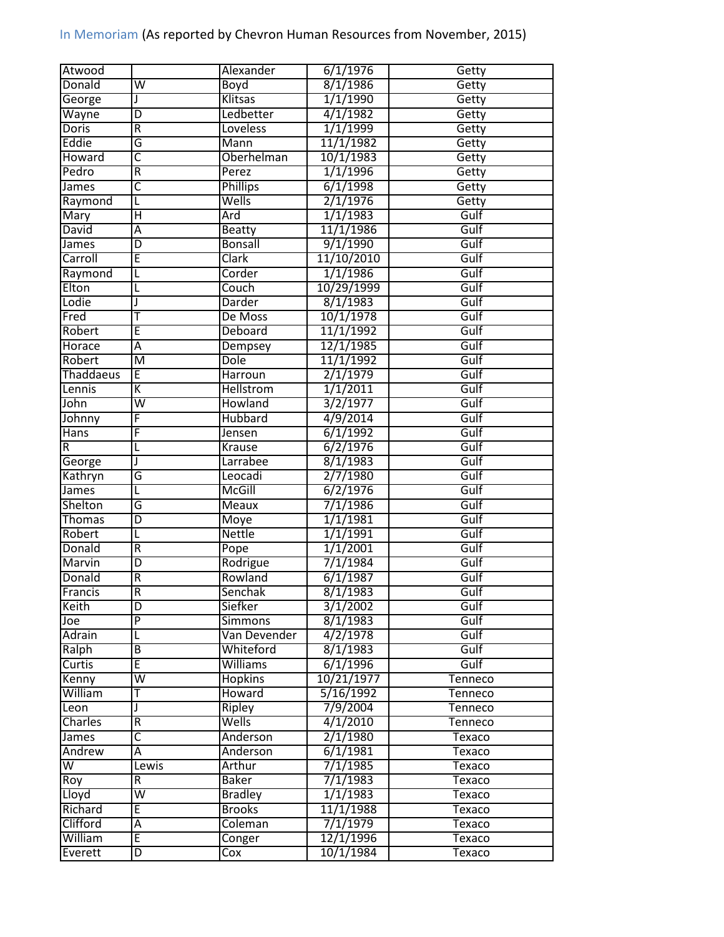| Atwood                  |                         | Alexander             | 6/1/1976               | Getty          |
|-------------------------|-------------------------|-----------------------|------------------------|----------------|
| Donald                  | W                       | Boyd                  | 8/1/1986               | Getty          |
| George                  | J                       | Klitsas               | 1/1/1990               | Getty          |
| Wayne                   | D                       | Ledbetter             | 4/1/1982               | Getty          |
| <b>Doris</b>            | $\overline{R}$          | Loveless              | 1/1/1999               | Getty          |
| Eddie                   | G                       | Mann                  | 11/1/1982              | Getty          |
| Howard                  | C                       | Oberhelman            | 10/1/1983              | Getty          |
| Pedro                   | $\overline{R}$          | Perez                 | 1/1/1996               | Getty          |
| James                   | $\overline{\mathsf{C}}$ | <b>Phillips</b>       | 6/1/1998               | Getty          |
| Raymond                 | L                       | Wells                 | 2/1/1976               | Getty          |
| Mary                    | $\overline{H}$          | Ard                   | 1/1/1983               | Gulf           |
| David                   | Ā                       | <b>Beatty</b>         | 11/1/1986              | Gulf           |
| James                   | D                       | <b>Bonsall</b>        | 9/1/1990               | Gulf           |
| Carroll                 | Έ                       | <b>Clark</b>          | 11/10/2010             | Gulf           |
| Raymond                 | L                       | Corder                | 1/1/1986               | Gulf           |
| Elton                   | L                       | Couch                 | 10/29/1999             | Gulf           |
| Lodie                   | J                       | Darder                | 8/1/1983               | Gulf           |
| Fred                    |                         | De Moss               | 10/1/1978              | Gulf           |
| <b>Robert</b>           | Ē                       | Deboard               | 11/1/1992              | Gulf           |
| Horace                  | Ā                       | Dempsey               | 12/1/1985              | Gulf           |
| Robert                  | M                       | <b>Dole</b>           | 11/1/1992              | Gulf           |
| Thaddaeus               | Ē                       | <b>Harroun</b>        | 2/1/1979               | Gulf           |
| Lennis                  | K                       | <b>Hellstrom</b>      | 1/1/2011               | Gulf           |
| John                    | $\overline{\mathsf{w}}$ | Howland               | 3/2/1977               | Gulf           |
| Johnny                  | F                       | <b>Hubbard</b>        | 4/9/2014               | Gulf           |
| <b>Hans</b>             | F                       | Jensen                | 6/1/1992               | Gulf           |
| R                       | L                       | Krause                | 6/2/1976               | Gulf           |
|                         | J                       | Larrabee              | 8/1/1983               | Gulf           |
| George<br>Kathryn       | G                       | Leocadi               | 2/7/1980               | Gulf           |
| James                   |                         | <b>McGill</b>         | 6/2/1976               | Gulf           |
|                         | L                       |                       |                        |                |
| Shelton                 | G                       | <b>Meaux</b>          | 7/1/1986               | Gulf<br>Gulf   |
| <b>Thomas</b>           | D                       | Moye<br><b>Nettle</b> | 1/1/1981               |                |
| Robert                  | L                       |                       | 1/1/1991               | Gulf           |
| Donald                  | $\overline{R}$          | Pope                  | 1/1/2001               | Gulf           |
| Marvin                  | D                       | Rodrigue              | 7/1/1984               | Gulf           |
| Donald                  | $\overline{R}$          | Rowland               | 6/1/1987               | Gulf           |
| Francis                 | $\overline{\mathsf{R}}$ | Senchak               | 8/1/1983               | Gulf           |
| Keith                   | D                       | Siefker               | 3/1/2002               | Gulf           |
| Joe                     | $\overline{P}$          | Simmons               | 8/1/1983               | Gulf           |
| Adrain                  | L                       | Van Devender          | 4/2/1978               | Gulf           |
| Ralph                   | B                       | Whiteford             | 8/1/1983               | Gulf           |
| Curtis                  | E                       | <b>Williams</b>       | 6/1/1996               | Gulf           |
| Kenny                   | $\overline{\mathsf{w}}$ | <b>Hopkins</b>        | 10/21/1977             | Tenneco        |
| William                 | T                       | Howard                | 5/16/1992              | Tenneco        |
| Leon                    | J                       | Ripley                | 7/9/2004               | Tenneco        |
| Charles                 | R                       | Wells                 | 4/1/2010               | <b>Tenneco</b> |
| James                   | $\overline{\mathsf{c}}$ | Anderson              | 2/1/1980               | Texaco         |
| Andrew                  | Α                       | Anderson              | 6/1/1981               | Texaco         |
| $\overline{\mathsf{W}}$ | Lewis                   | Arthur                | 7/1/1985               | Texaco         |
| Roy                     | ${\sf R}$               | <b>Baker</b>          | 7/1/1983               | Texaco         |
| Lloyd                   | $\overline{\mathsf{W}}$ | <b>Bradley</b>        | 1/1/1983               | Texaco         |
| Richard                 | E                       | <b>Brooks</b>         | 11/1/1988              | Texaco         |
| Clifford                | А                       | Coleman               | 7/1/1979               | Texaco         |
|                         |                         |                       |                        |                |
| William                 | E                       | Conger                | 12/1/1996<br>10/1/1984 | Texaco         |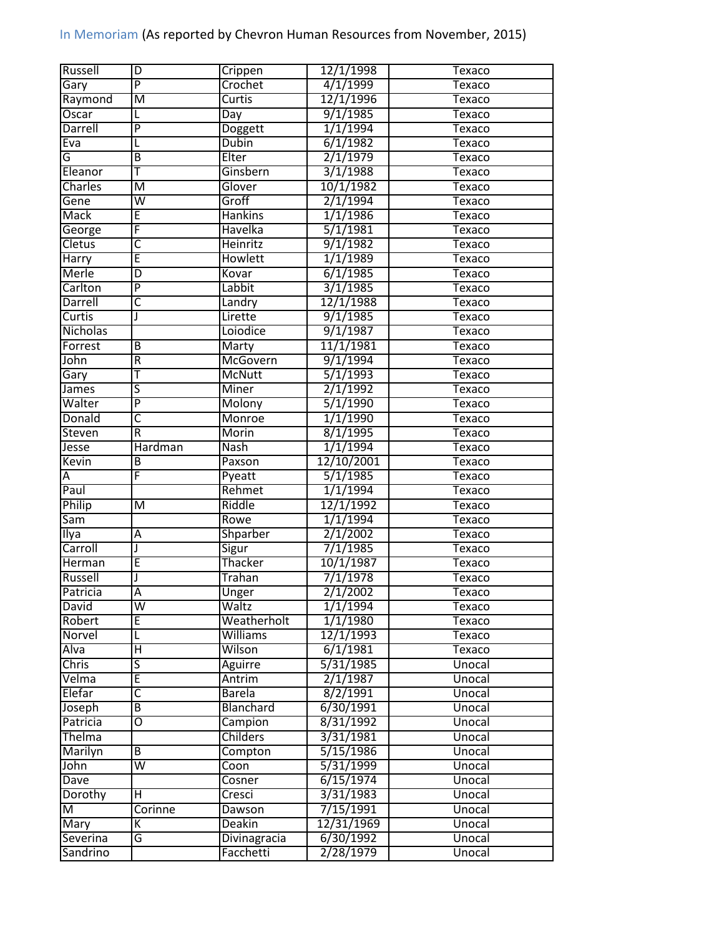| Russell                 | D                       | Crippen                  | 12/1/1998  | Texaco                  |
|-------------------------|-------------------------|--------------------------|------------|-------------------------|
| Gary                    | $\overline{\mathsf{P}}$ | Crochet                  | 4/1/1999   | Texaco                  |
| Raymond                 | $\overline{\mathsf{M}}$ | Curtis                   | 12/1/1996  | Texaco                  |
| Oscar                   | L                       | Day                      | 9/1/1985   | Texaco                  |
| Darrell                 | $\overline{P}$          | Doggett                  | 1/1/1994   | <b>Texaco</b>           |
| Eva                     | L                       | <b>Dubin</b>             | 6/1/1982   | Texaco                  |
| G                       | B                       | Elter                    | 2/1/1979   | Texaco                  |
| Eleanor                 | T                       | Ginsbern                 | 3/1/1988   | Texaco                  |
| Charles                 | $\overline{\mathsf{M}}$ | Glover                   | 10/1/1982  | Texaco                  |
| Gene                    | $\overline{\mathsf{w}}$ | Groff                    | 2/1/1994   | Texaco                  |
| <b>Mack</b>             | Ē                       | <b>Hankins</b>           | 1/1/1986   | Texaco                  |
| George                  | F                       | Havelka                  | 5/1/1981   | <b>Texaco</b>           |
| Cletus                  | С                       | Heinritz                 | 9/1/1982   | <b>Texaco</b>           |
| Harry                   | Ē                       | <b>Howlett</b>           | 1/1/1989   | Texaco                  |
| Merle                   | D                       | Kovar                    | 6/1/1985   | Texaco                  |
| Carlton                 | $\overline{P}$          | Labbit                   | 3/1/1985   | Texaco                  |
| Darrell                 | $\overline{\mathsf{c}}$ | Landry                   | 12/1/1988  | Texaco                  |
| Curtis                  | J                       | Lirette                  | 9/1/1985   | Texaco                  |
| Nicholas                |                         | Loiodice                 | 9/1/1987   | Texaco                  |
| Forrest                 | $\overline{B}$          | Marty                    | 11/1/1981  | Texaco                  |
| John                    | R                       | McGovern                 | 9/1/1994   | Texaco                  |
| Gary                    | T                       | <b>McNutt</b>            | 5/1/1993   | Texaco                  |
| James                   | $\overline{\mathsf{s}}$ | <b>Miner</b>             | 2/1/1992   | Texaco                  |
| Walter                  | $\overline{\mathsf{P}}$ | Molony                   | 5/1/1990   | Texaco                  |
| Donald                  | $\overline{\mathsf{C}}$ | Monroe                   | 1/1/1990   | Texaco                  |
| Steven                  | R                       | Morin                    | 8/1/1995   | <b>Texaco</b>           |
| Jesse                   | Hardman                 | <b>Nash</b>              | 1/1/1994   | Texaco                  |
| Kevin                   | B                       | Paxson                   | 12/10/2001 | Texaco                  |
| Α                       | F                       | Pyeatt                   | 5/1/1985   | Texaco                  |
| Paul                    |                         | Rehmet                   | 1/1/1994   | <b>Texaco</b>           |
| Philip                  | M                       | Riddle                   | 12/1/1992  | Texaco                  |
| Sam                     |                         | Rowe                     | 1/1/1994   | Texaco                  |
| Ilya                    | А                       | Shparber                 | 2/1/2002   | Texaco                  |
| Carroll                 | J                       | Sigur                    | 7/1/1985   | <b>Texaco</b>           |
| Herman                  | E                       | Thacker                  | 10/1/1987  | Texaco                  |
| Russell                 | J                       | Trahan                   | 7/1/1978   | Texaco                  |
| Patricia                | $\overline{A}$          |                          | 2/1/2002   | Texaco                  |
| <b>David</b>            | W                       | Unger<br>Waltz           | 1/1/1994   |                         |
| Robert                  |                         | Weatherholt              | 1/1/1980   | Texaco<br><b>Texaco</b> |
| Norvel                  | E<br>L                  | <b>Williams</b>          | 12/1/1993  | Texaco                  |
| Alva                    | Η                       | Wilson                   | 6/1/1981   |                         |
|                         |                         |                          | 5/31/1985  | Texaco                  |
| <b>Chris</b>            | $\overline{\mathsf{s}}$ | Aguirre                  |            | Unocal                  |
| Velma                   | E                       | Antrim                   | 2/1/1987   | Unocal                  |
| Elefar                  | C                       | <b>Barela</b>            | 8/2/1991   | Unocal                  |
| Joseph                  | $\overline{\mathsf{B}}$ | <b>Blanchard</b>         | 6/30/1991  | Unocal                  |
| Patricia                | Ο                       | Campion                  | 8/31/1992  | Unocal                  |
| Thelma                  |                         | <b>Childers</b>          | 3/31/1981  | Unocal                  |
| Marilyn                 | B                       | Compton                  | 5/15/1986  | Unocal                  |
| John                    | $\overline{\mathsf{W}}$ | $\overline{\text{Coon}}$ | 5/31/1999  | Unocal                  |
| Dave                    |                         | Cosner                   | 6/15/1974  | Unocal                  |
| Dorothy                 | н                       | Cresci                   | 3/31/1983  | Unocal                  |
| $\overline{\mathsf{M}}$ | Corinne                 | Dawson                   | 7/15/1991  | Unocal                  |
| Mary                    | К                       | <b>Deakin</b>            | 12/31/1969 | Unocal                  |
| Severina                | G                       | <b>Divinagracia</b>      | 6/30/1992  | Unocal                  |
| Sandrino                |                         | Facchetti                | 2/28/1979  | Unocal                  |